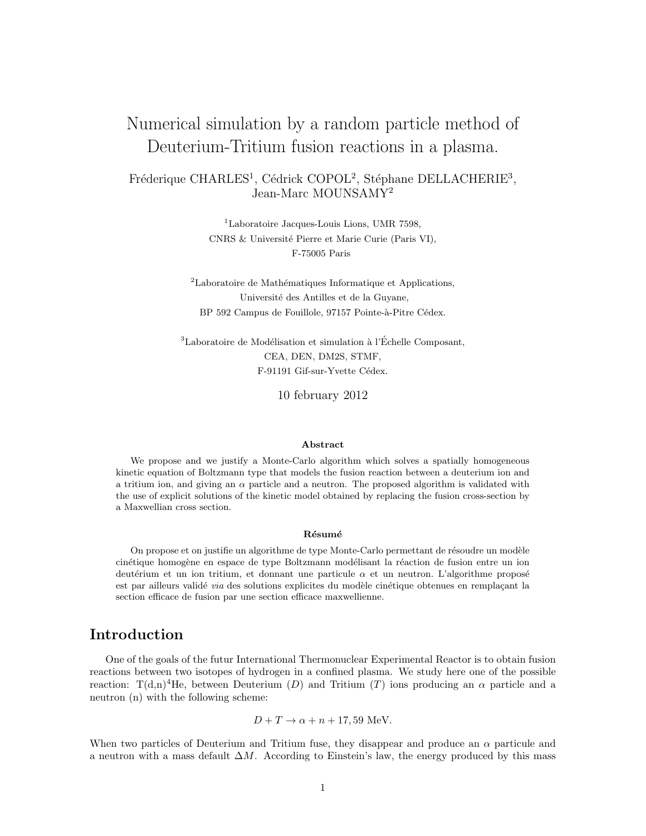# Numerical simulation by a random particle method of Deuterium-Tritium fusion reactions in a plasma.

Fréderique CHARLES<sup>1</sup>, Cédrick COPOL<sup>2</sup>, Stéphane DELLACHERIE<sup>3</sup>, Jean-Marc MOUNSAMY<sup>2</sup>

> <sup>1</sup>Laboratoire Jacques-Louis Lions, UMR 7598, CNRS & Université Pierre et Marie Curie (Paris VI), F-75005 Paris

 ${}^{2}$ Laboratoire de Mathématiques Informatique et Applications, Université des Antilles et de la Guyane, BP 592 Campus de Fouillole, 97157 Pointe-à-Pitre Cédex.

 ${}^{3}$ Laboratoire de Modélisation et simulation à l'Échelle Composant, CEA, DEN, DM2S, STMF, F-91191 Gif-sur-Yvette Cédex.

10 february 2012

#### Abstract

We propose and we justify a Monte-Carlo algorithm which solves a spatially homogeneous kinetic equation of Boltzmann type that models the fusion reaction between a deuterium ion and a tritium ion, and giving an  $\alpha$  particle and a neutron. The proposed algorithm is validated with the use of explicit solutions of the kinetic model obtained by replacing the fusion cross-section by a Maxwellian cross section.

#### Résumé

On propose et on justifie un algorithme de type Monte-Carlo permettant de résoudre un modèle cinétique homogène en espace de type Boltzmann modélisant la réaction de fusion entre un ion deutérium et un ion tritium, et donnant une particule  $\alpha$  et un neutron. L'algorithme proposé est par ailleurs validé via des solutions explicites du modèle cinétique obtenues en remplaçant la section efficace de fusion par une section efficace maxwellienne.

# Introduction

One of the goals of the futur International Thermonuclear Experimental Reactor is to obtain fusion reactions between two isotopes of hydrogen in a confined plasma. We study here one of the possible reaction:  $T(d,n)^{4}$ He, between Deuterium (D) and Tritium (T) ions producing an  $\alpha$  particle and a neutron (n) with the following scheme:

$$
D + T \rightarrow \alpha + n + 17,59
$$
 MeV.

When two particles of Deuterium and Tritium fuse, they disappear and produce an  $\alpha$  particule and a neutron with a mass default  $\Delta M$ . According to Einstein's law, the energy produced by this mass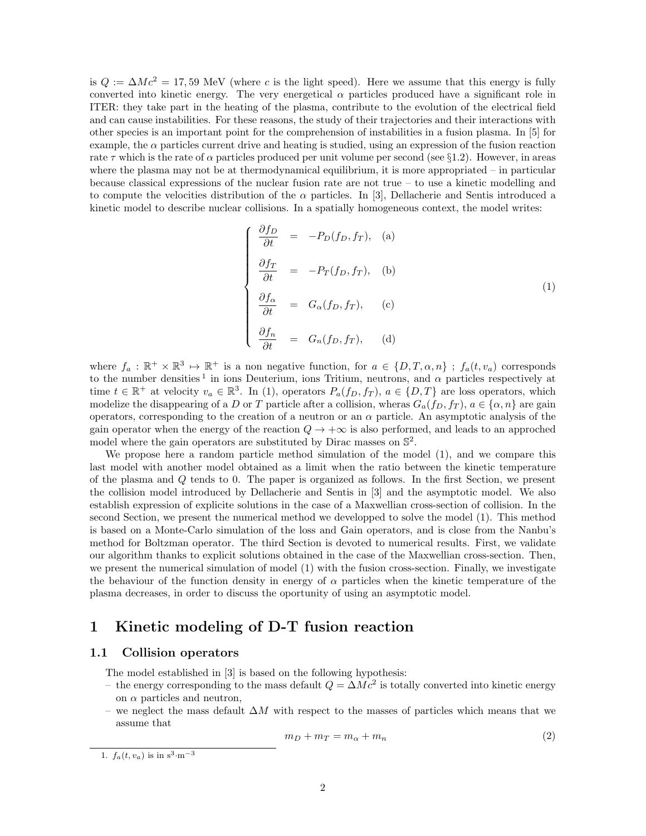is  $Q := \Delta Mc^2 = 17,59$  MeV (where c is the light speed). Here we assume that this energy is fully converted into kinetic energy. The very energetical  $\alpha$  particles produced have a significant role in ITER: they take part in the heating of the plasma, contribute to the evolution of the electrical field and can cause instabilities. For these reasons, the study of their trajectories and their interactions with other species is an important point for the comprehension of instabilities in a fusion plasma. In [5] for example, the  $\alpha$  particles current drive and heating is studied, using an expression of the fusion reaction rate  $\tau$  which is the rate of  $\alpha$  particles produced per unit volume per second (see §1.2). However, in areas where the plasma may not be at thermodynamical equilibrium, it is more appropriated – in particular because classical expressions of the nuclear fusion rate are not true – to use a kinetic modelling and to compute the velocities distribution of the  $\alpha$  particles. In [3], Dellacherie and Sentis introduced a kinetic model to describe nuclear collisions. In a spatially homogeneous context, the model writes:

$$
\begin{cases}\n\frac{\partial f_D}{\partial t} = -P_D(f_D, f_T), & \text{(a)} \\
\frac{\partial f_T}{\partial t} = -P_T(f_D, f_T), & \text{(b)} \\
\frac{\partial f_\alpha}{\partial t} = G_\alpha(f_D, f_T), & \text{(c)} \\
\frac{\partial f_n}{\partial t} = G_n(f_D, f_T), & \text{(d)}\n\end{cases}
$$
\n(1)

where  $f_a: \mathbb{R}^+ \times \mathbb{R}^3 \mapsto \mathbb{R}^+$  is a non negative function, for  $a \in \{D, T, \alpha, n\}$ ;  $f_a(t, v_a)$  corresponds to the number densities<sup>1</sup> in ions Deuterium, ions Tritium, neutrons, and  $\alpha$  particles respectively at time  $t \in \mathbb{R}^+$  at velocity  $v_a \in \mathbb{R}^3$ . In (1), operators  $P_a(f_D, f_T)$ ,  $a \in \{D, T\}$  are loss operators, which modelize the disappearing of a D or T particle after a collision, wheras  $G_a(f_D, f_T)$ ,  $a \in \{\alpha, n\}$  are gain operators, corresponding to the creation of a neutron or an  $\alpha$  particle. An asymptotic analysis of the gain operator when the energy of the reaction  $Q \rightarrow +\infty$  is also performed, and leads to an approched model where the gain operators are substituted by Dirac masses on  $\mathbb{S}^2$ .

We propose here a random particle method simulation of the model (1), and we compare this last model with another model obtained as a limit when the ratio between the kinetic temperature of the plasma and Q tends to 0. The paper is organized as follows. In the first Section, we present the collision model introduced by Dellacherie and Sentis in [3] and the asymptotic model. We also establish expression of explicite solutions in the case of a Maxwellian cross-section of collision. In the second Section, we present the numerical method we developped to solve the model (1). This method is based on a Monte-Carlo simulation of the loss and Gain operators, and is close from the Nanbu's method for Boltzman operator. The third Section is devoted to numerical results. First, we validate our algorithm thanks to explicit solutions obtained in the case of the Maxwellian cross-section. Then, we present the numerical simulation of model (1) with the fusion cross-section. Finally, we investigate the behaviour of the function density in energy of  $\alpha$  particles when the kinetic temperature of the plasma decreases, in order to discuss the oportunity of using an asymptotic model.

# 1 Kinetic modeling of D-T fusion reaction

### 1.1 Collision operators

The model established in [3] is based on the following hypothesis:

- the energy corresponding to the mass default  $Q = \Delta Mc^2$  is totally converted into kinetic energy on  $\alpha$  particles and neutron,
- we neglect the mass default  $\Delta M$  with respect to the masses of particles which means that we assume that

$$
m_D + m_T = m_\alpha + m_n \tag{2}
$$

<sup>1.</sup>  $f_a(t, v_a)$  is in s<sup>3</sup>·m<sup>-3</sup>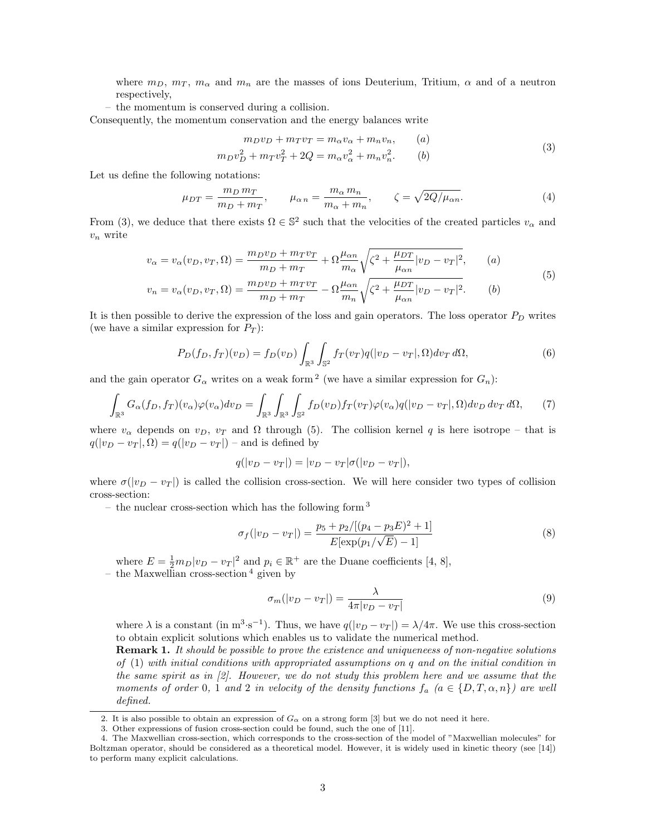where  $m_D, m_T, m_\alpha$  and  $m_n$  are the masses of ions Deuterium, Tritium,  $\alpha$  and of a neutron respectively,

– the momentum is conserved during a collision.

Consequently, the momentum conservation and the energy balances write

$$
m_D v_D + m_T v_T = m_\alpha v_\alpha + m_n v_n, \qquad (a)
$$
\n(3)

$$
m_D v_D^2 + m_T v_T^2 + 2Q = m_\alpha v_\alpha^2 + m_n v_n^2. \qquad (b)
$$

Let us define the following notations:

$$
\mu_{DT} = \frac{m_D m_T}{m_D + m_T}, \qquad \mu_{\alpha n} = \frac{m_{\alpha} m_n}{m_{\alpha} + m_n}, \qquad \zeta = \sqrt{2Q/\mu_{\alpha n}}.
$$
\n(4)

From (3), we deduce that there exists  $\Omega \in \mathbb{S}^2$  such that the velocities of the created particles  $v_\alpha$  and  $v_n$  write

$$
v_{\alpha} = v_{\alpha}(v_D, v_T, \Omega) = \frac{m_D v_D + m_T v_T}{m_D + m_T} + \Omega \frac{\mu_{\alpha n}}{m_{\alpha}} \sqrt{\zeta^2 + \frac{\mu_{DT}}{\mu_{\alpha n}} |v_D - v_T|^2}, \qquad (a)
$$
  

$$
v_n = v_{\alpha}(v_D, v_T, \Omega) = \frac{m_D v_D + m_T v_T}{m_D + m_T} - \Omega \frac{\mu_{\alpha n}}{m_n} \sqrt{\zeta^2 + \frac{\mu_{DT}}{\mu_{\alpha n}} |v_D - v_T|^2}. \qquad (b)
$$

It is then possible to derive the expression of the loss and gain operators. The loss operator  $P<sub>D</sub>$  writes (we have a similar expression for  $P_T$ ):

$$
P_D(f_D, f_T)(v_D) = f_D(v_D) \int_{\mathbb{R}^3} \int_{\mathbb{S}^2} f_T(v_T) q(|v_D - v_T|, \Omega) dv_T d\Omega,
$$
\n(6)

and the gain operator  $G_{\alpha}$  writes on a weak form <sup>2</sup> (we have a similar expression for  $G_n$ ):

$$
\int_{\mathbb{R}^3} G_{\alpha}(f_D, f_T)(v_{\alpha}) \varphi(v_{\alpha}) dv_D = \int_{\mathbb{R}^3} \int_{\mathbb{R}^3} \int_{\mathbb{S}^2} f_D(v_D) f_T(v_T) \varphi(v_{\alpha}) q(|v_D - v_T|, \Omega) dv_D dv_T d\Omega, \tag{7}
$$

where  $v_{\alpha}$  depends on  $v_D$ ,  $v_T$  and  $\Omega$  through (5). The collision kernel q is here isotrope – that is  $q(|v_D - v_T|, \Omega) = q(|v_D - v_T|)$  – and is defined by

$$
q(|v_D - v_T|) = |v_D - v_T|\sigma(|v_D - v_T|),
$$

where  $\sigma(|v_D - v_T|)$  is called the collision cross-section. We will here consider two types of collision cross-section:

– the nuclear cross-section which has the following form  $3$ 

$$
\sigma_f(|v_D - v_T|) = \frac{p_5 + p_2/[(p_4 - p_3E)^2 + 1]}{E[\exp(p_1/\sqrt{E}) - 1]}
$$
\n(8)

where  $E = \frac{1}{2}m_D|v_D - v_T|^2$  and  $p_i \in \mathbb{R}^+$  are the Duane coefficients [4, 8],

– the Maxwellian cross-section  $4$  given by

$$
\sigma_m(|v_D - v_T|) = \frac{\lambda}{4\pi |v_D - v_T|} \tag{9}
$$

where  $\lambda$  is a constant (in  $m^3 \cdot s^{-1}$ ). Thus, we have  $q(|v_D - v_T|) = \lambda/4\pi$ . We use this cross-section to obtain explicit solutions which enables us to validate the numerical method.

**Remark 1.** It should be possible to prove the existence and uniqueneess of non-negative solutions of (1) with initial conditions with appropriated assumptions on q and on the initial condition in the same spirit as in [2]. However, we do not study this problem here and we assume that the moments of order 0, 1 and 2 in velocity of the density functions  $f_a$   $(a \in \{D, T, \alpha, n\})$  are well defined.

<sup>2.</sup> It is also possible to obtain an expression of  $G_{\alpha}$  on a strong form [3] but we do not need it here.

<sup>3.</sup> Other expressions of fusion cross-section could be found, such the one of [11].

<sup>4.</sup> The Maxwellian cross-section, which corresponds to the cross-section of the model of "Maxwellian molecules" for Boltzman operator, should be considered as a theoretical model. However, it is widely used in kinetic theory (see [14]) to perform many explicit calculations.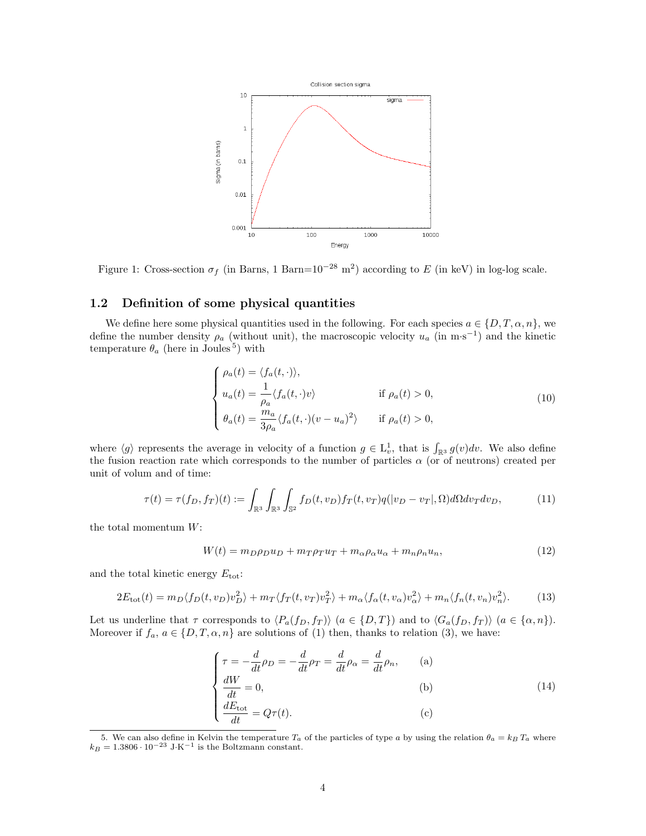

Figure 1: Cross-section  $\sigma_f$  (in Barns, 1 Barn=10<sup>-28</sup> m<sup>2</sup>) according to E (in keV) in log-log scale.

### 1.2 Definition of some physical quantities

We define here some physical quantities used in the following. For each species  $a \in \{D, T, \alpha, n\}$ , we define the number density  $\rho_a$  (without unit), the macroscopic velocity  $u_a$  (in m·s<sup>-1</sup>) and the kinetic temperature  $\theta_a$  (here in Joules<sup>5</sup>) with

$$
\begin{cases}\n\rho_a(t) = \langle f_a(t, \cdot) \rangle, \\
u_a(t) = \frac{1}{\rho_a} \langle f_a(t, \cdot) v \rangle & \text{if } \rho_a(t) > 0, \\
\theta_a(t) = \frac{m_a}{3\rho_a} \langle f_a(t, \cdot) (v - u_a)^2 \rangle & \text{if } \rho_a(t) > 0,\n\end{cases}
$$
\n(10)

where  $\langle g \rangle$  represents the average in velocity of a function  $g \in L_v^1$ , that is  $\int_{\mathbb{R}^3} g(v)dv$ . We also define the fusion reaction rate which corresponds to the number of particles  $\alpha$  (or of neutrons) created per unit of volum and of time:

$$
\tau(t) = \tau(f_D, f_T)(t) := \int_{\mathbb{R}^3} \int_{\mathbb{R}^3} \int_{\mathbb{S}^2} f_D(t, v_D) f_T(t, v_T) q(|v_D - v_T|, \Omega) d\Omega dv_T dv_D,
$$
\n(11)

the total momentum  $W$ :

$$
W(t) = m_D \rho_D u_D + m_T \rho_T u_T + m_\alpha \rho_\alpha u_\alpha + m_n \rho_n u_n, \tag{12}
$$

and the total kinetic energy  $E_{\text{tot}}$ :

$$
2E_{\text{tot}}(t) = m_D \langle f_D(t, v_D) v_D^2 \rangle + m_T \langle f_T(t, v_T) v_T^2 \rangle + m_\alpha \langle f_\alpha(t, v_\alpha) v_\alpha^2 \rangle + m_n \langle f_n(t, v_n) v_n^2 \rangle. \tag{13}
$$

Let us underline that  $\tau$  corresponds to  $\langle P_a(f_D, f_T) \rangle$   $(a \in \{D, T\})$  and to  $\langle G_a(f_D, f_T) \rangle$   $(a \in \{\alpha, n\})$ . Moreover if  $f_a, a \in \{D, T, \alpha, n\}$  are solutions of (1) then, thanks to relation (3), we have:

$$
\begin{cases}\n\tau = -\frac{d}{dt}\rho_D = -\frac{d}{dt}\rho_T = \frac{d}{dt}\rho_\alpha = \frac{d}{dt}\rho_n, & \text{(a)}\\
\frac{dW}{dt} = 0, & \text{(b)}\\
\frac{dE_{\text{tot}}}{dt} = Q\tau(t). & \text{(c)}\n\end{cases}
$$

<sup>5.</sup> We can also define in Kelvin the temperature  $T_a$  of the particles of type a by using the relation  $\theta_a = k_B T_a$  where  $k_B = 1.3806 \cdot 10^{-23}$  J·K<sup>-1</sup> is the Boltzmann constant.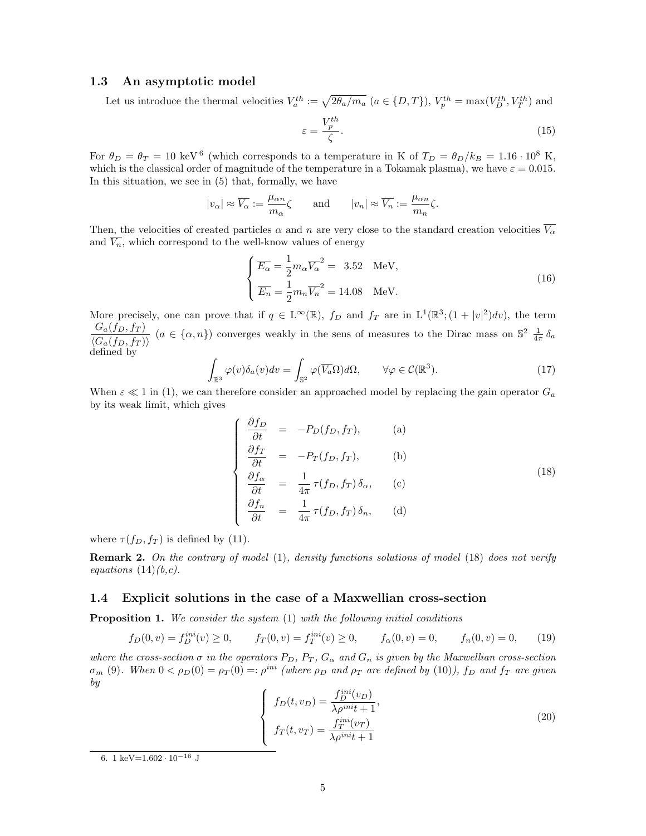#### 1.3 An asymptotic model

Let us introduce the thermal velocities  $V_a^{th} := \sqrt{2\theta_a/m_a}$   $(a \in \{D, T\})$ ,  $V_p^{th} = \max(V_D^{th}, V_T^{th})$  and

$$
\varepsilon = \frac{V_p^{th}}{\zeta}.\tag{15}
$$

For  $\theta_D = \theta_T = 10 \text{ keV}^6$  (which corresponds to a temperature in K of  $T_D = \theta_D/k_B = 1.16 \cdot 10^8 \text{ K}$ , which is the classical order of magnitude of the temperature in a Tokamak plasma), we have  $\varepsilon = 0.015$ . In this situation, we see in (5) that, formally, we have

$$
|v_{\alpha}| \approx \overline{V_{\alpha}} := \frac{\mu_{\alpha n}}{m_{\alpha}} \zeta
$$
 and  $|v_n| \approx \overline{V_n} := \frac{\mu_{\alpha n}}{m_n} \zeta$ .

Then, the velocities of created particles  $\alpha$  and n are very close to the standard creation velocities  $\overline{V_{\alpha}}$ and  $\overline{V_n}$ , which correspond to the well-know values of energy

$$
\begin{cases}\n\overline{E_{\alpha}} = \frac{1}{2} m_{\alpha} \overline{V_{\alpha}}^2 = 3.52 \quad \text{MeV}, \\
\overline{E_n} = \frac{1}{2} m_n \overline{V_n}^2 = 14.08 \quad \text{MeV}.\n\end{cases}
$$
\n(16)

More precisely, one can prove that if  $q \in L^{\infty}(\mathbb{R})$ ,  $f_D$  and  $f_T$  are in  $L^1(\mathbb{R}^3; (1+|v|^2)dv)$ , the term  $G_a(f_D, f_T)$  $\frac{G_a(J_D, f_T)}{\langle G_a(f_D, f_T) \rangle}$  ( $a \in \{\alpha, n\}$ ) converges weakly in the sens of measures to the Dirac mass on  $\mathbb{S}^2 \frac{1}{4\pi} \delta_a$ defined by

$$
\int_{\mathbb{R}^3} \varphi(v) \delta_a(v) dv = \int_{\mathbb{S}^2} \varphi(\overline{V_a} \Omega) d\Omega, \qquad \forall \varphi \in \mathcal{C}(\mathbb{R}^3).
$$
\n(17)

When  $\varepsilon \ll 1$  in (1), we can therefore consider an approached model by replacing the gain operator  $G_a$ by its weak limit, which gives

$$
\begin{cases}\n\frac{\partial f_D}{\partial t} = -P_D(f_D, f_T), & \text{(a)} \\
\frac{\partial f_T}{\partial t} = -P_T(f_D, f_T), & \text{(b)} \\
\frac{\partial f_\alpha}{\partial t} = \frac{1}{4\pi} \tau(f_D, f_T) \delta_\alpha, & \text{(c)} \\
\frac{\partial f_n}{\partial t} = \frac{1}{4\pi} \tau(f_D, f_T) \delta_n, & \text{(d)}\n\end{cases}
$$
\n(18)

where  $\tau(f_D, f_T)$  is defined by (11).

Remark 2. On the contrary of model (1), density functions solutions of model (18) does not verify equations  $(14)(b,c)$ .

#### 1.4 Explicit solutions in the case of a Maxwellian cross-section

**Proposition 1.** We consider the system  $(1)$  with the following initial conditions

$$
f_D(0, v) = f_D^{ini}(v) \ge 0, \qquad f_T(0, v) = f_T^{ini}(v) \ge 0, \qquad f_\alpha(0, v) = 0, \qquad f_n(0, v) = 0,\tag{19}
$$

where the cross-section  $\sigma$  in the operators  $P_D$ ,  $P_T$ ,  $G_{\alpha}$  and  $G_n$  is given by the Maxwellian cross-section  $\sigma_m$  (9). When  $0 < \rho_D(0) = \rho_T(0) =: \rho^{ini}$  (where  $\rho_D$  and  $\rho_T$  are defined by (10)),  $f_D$  and  $f_T$  are given by

$$
\begin{cases}\nf_D(t, v_D) = \frac{f_D^{ini}(v_D)}{\lambda \rho^{ini} t + 1}, \\
f_T(t, v_T) = \frac{f_T^{ini}(v_T)}{\lambda \rho^{ini} t + 1}\n\end{cases}
$$
\n(20)

<sup>6. 1</sup> keV= $1.602 \cdot 10^{-16}$  J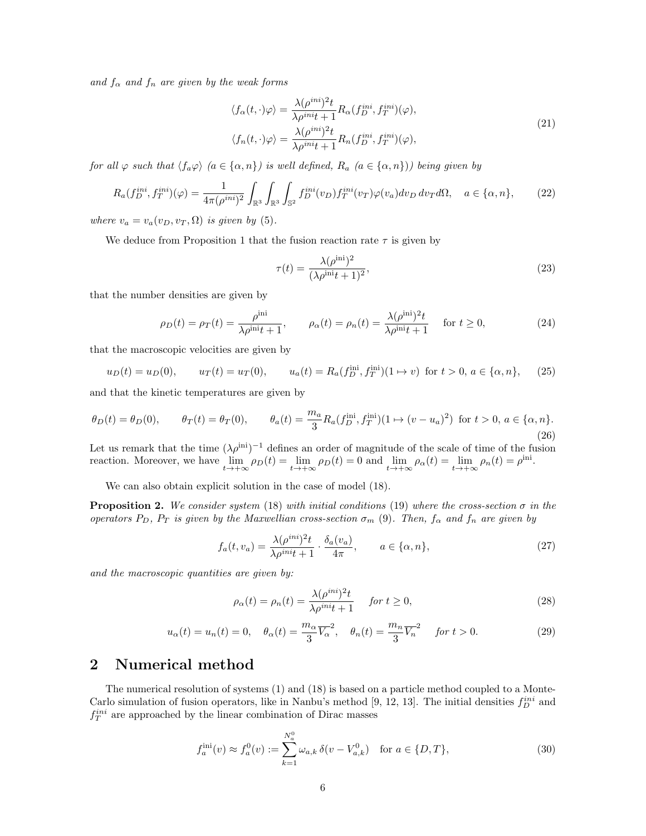and  $f_{\alpha}$  and  $f_n$  are given by the weak forms

$$
\langle f_{\alpha}(t,\cdot)\varphi\rangle = \frac{\lambda(\rho^{ini})^2 t}{\lambda \rho^{ini} t + 1} R_{\alpha}(f_D^{ini}, f_T^{ini})(\varphi),
$$
  

$$
\langle f_n(t,\cdot)\varphi\rangle = \frac{\lambda(\rho^{ini})^2 t}{\lambda \rho^{ini} t + 1} R_n(f_D^{ini}, f_T^{ini})(\varphi),
$$
 (21)

for all  $\varphi$  such that  $\langle f_a\varphi \rangle$   $(a \in {\alpha, n}$ ) is well defined,  $R_a$   $(a \in {\alpha, n})$ ) being given by

$$
R_a(f_D^{ini}, f_T^{ini})(\varphi) = \frac{1}{4\pi(\rho^{ini})^2} \int_{\mathbb{R}^3} \int_{\mathbb{R}^3} \int_{\mathbb{S}^2} f_D^{ini}(v_D) f_T^{ini}(v_T) \varphi(v_a) dv_D \, dv_T d\Omega, \quad a \in \{\alpha, n\},\tag{22}
$$

where  $v_a = v_a(v_D, v_T, \Omega)$  is given by (5).

We deduce from Proposition 1 that the fusion reaction rate  $\tau$  is given by

$$
\tau(t) = \frac{\lambda(\rho^{\text{ini}})^2}{(\lambda \rho^{\text{ini}} t + 1)^2},\tag{23}
$$

that the number densities are given by

$$
\rho_D(t) = \rho_T(t) = \frac{\rho^{\text{ini}}}{\lambda \rho^{\text{ini}} t + 1}, \qquad \rho_\alpha(t) = \rho_n(t) = \frac{\lambda (\rho^{\text{ini}})^2 t}{\lambda \rho^{\text{ini}} t + 1} \quad \text{for } t \ge 0,
$$
\n(24)

that the macroscopic velocities are given by

$$
u_D(t) = u_D(0), \qquad u_T(t) = u_T(0), \qquad u_a(t) = R_a(f_D^{\text{ini}}, f_T^{\text{ini}})(1 \to v) \text{ for } t > 0, a \in \{\alpha, n\}, \tag{25}
$$

and that the kinetic temperatures are given by

$$
\theta_D(t) = \theta_D(0), \qquad \theta_T(t) = \theta_T(0), \qquad \theta_a(t) = \frac{m_a}{3} R_a(f_D^{\text{ini}}, f_T^{\text{ini}})(1 \mapsto (v - u_a)^2) \text{ for } t > 0, a \in \{\alpha, n\}.
$$
\n
$$
(26)
$$

Let us remark that the time  $(\lambda \rho^{\text{ini}})^{-1}$  defines an order of magnitude of the scale of time of the fusion reaction. Moreover, we have  $\lim_{t\to+\infty} \rho_D(t) = \lim_{t\to+\infty} \rho_D(t) = 0$  and  $\lim_{t\to+\infty} \rho_\alpha(t) = \lim_{t\to+\infty} \rho_n(t) = \rho^{\text{ini}}$ .

We can also obtain explicit solution in the case of model (18).

**Proposition 2.** We consider system (18) with initial conditions (19) where the cross-section  $\sigma$  in the operators  $P_D$ ,  $P_T$  is given by the Maxwellian cross-section  $\sigma_m$  (9). Then,  $f_{\alpha}$  and  $f_n$  are given by

$$
f_a(t, v_a) = \frac{\lambda(\rho^{ini})^2 t}{\lambda \rho^{ini} t + 1} \cdot \frac{\delta_a(v_a)}{4\pi}, \qquad a \in \{\alpha, n\},\tag{27}
$$

and the macroscopic quantities are given by:

$$
\rho_{\alpha}(t) = \rho_n(t) = \frac{\lambda(\rho^{ini})^2 t}{\lambda \rho^{ini} t + 1} \quad \text{for } t \ge 0,
$$
\n(28)

$$
u_{\alpha}(t) = u_n(t) = 0, \quad \theta_{\alpha}(t) = \frac{m_{\alpha}}{3} \overline{V_{\alpha}}^2, \quad \theta_n(t) = \frac{m_n}{3} \overline{V_n}^2 \quad \text{for } t > 0. \tag{29}
$$

# 2 Numerical method

The numerical resolution of systems (1) and (18) is based on a particle method coupled to a Monte-Carlo simulation of fusion operators, like in Nanbu's method [9, 12, 13]. The initial densities  $f_D^{ini}$  and  $f_T^{ini}$  are approached by the linear combination of Dirac masses

$$
f_a^{\text{ini}}(v) \approx f_a^0(v) := \sum_{k=1}^{N_a^0} \omega_{a,k} \,\delta(v - V_{a,k}^0) \quad \text{for } a \in \{D, T\},\tag{30}
$$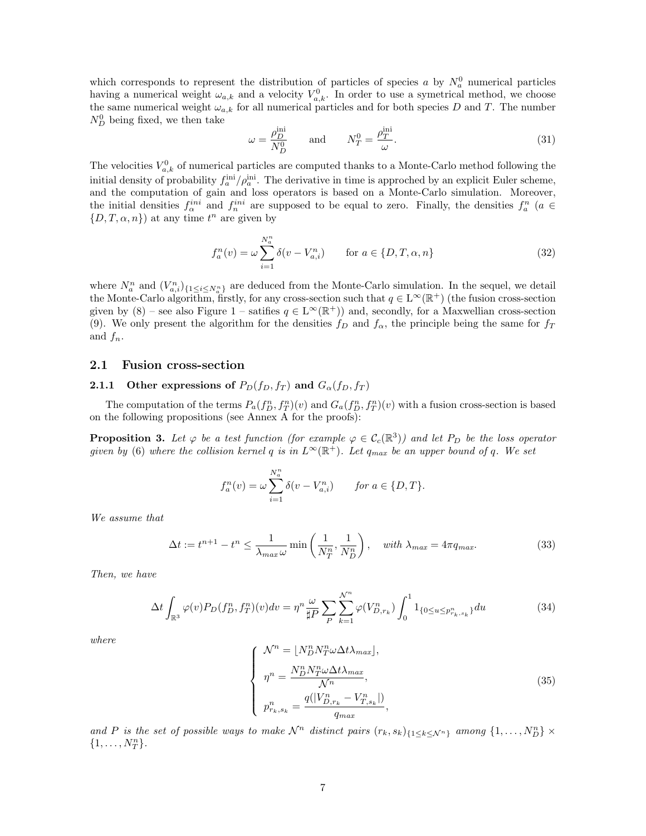which corresponds to represent the distribution of particles of species a by  $N_a^0$  numerical particles having a numerical weight  $\omega_{a,k}$  and a velocity  $V_{a,k}^0$ . In order to use a symetrical method, we choose the same numerical weight  $\omega_{a,k}$  for all numerical particles and for both species D and T. The number  $N_D^0$  being fixed, we then take

$$
\omega = \frac{\rho_D^{\text{ini}}}{N_D^0} \quad \text{and} \quad N_T^0 = \frac{\rho_T^{\text{ini}}}{\omega}.
$$
 (31)

The velocities  $V_{a,k}^0$  of numerical particles are computed thanks to a Monte-Carlo method following the initial density of probability  $f_a^{\text{ini}}/\rho_a^{\text{ini}}$ . The derivative in time is approched by an explicit Euler scheme, and the computation of gain and loss operators is based on a Monte-Carlo simulation. Moreover, the initial densities  $f_{\alpha}^{ini}$  and  $f_{n}^{ini}$  are supposed to be equal to zero. Finally, the densities  $f_{a}^{n}$  ( $a \in$  $\{D, T, \alpha, n\}$  at any time  $t^n$  are given by

$$
f_a^n(v) = \omega \sum_{i=1}^{N_a^n} \delta(v - V_{a,i}^n) \quad \text{for } a \in \{D, T, \alpha, n\}
$$
 (32)

where  $N_a^n$  and  $(V_{a,i}^n)_{\{1 \le i \le N_a^n\}}$  are deduced from the Monte-Carlo simulation. In the sequel, we detail the Monte-Carlo algorithm, firstly, for any cross-section such that  $q \in L^{\infty}(\mathbb{R}^+)$  (the fusion cross-section given by  $(8)$  – see also Figure 1 – satifies  $q \in L^{\infty}(\mathbb{R}^+)$  and, secondly, for a Maxwellian cross-section (9). We only present the algorithm for the densities  $f_D$  and  $f_{\alpha}$ , the principle being the same for  $f_T$ and  $f_n$ .

#### 2.1 Fusion cross-section

# 2.1.1 Other expressions of  $P_D(f_D, f_T)$  and  $G_{\alpha}(f_D, f_T)$

The computation of the terms  $P_a(f_D^n, f_T^n)(v)$  and  $G_a(f_D^n, f_T^n)(v)$  with a fusion cross-section is based on the following propositions (see Annex A for the proofs):

**Proposition 3.** Let  $\varphi$  be a test function (for example  $\varphi \in C_c(\mathbb{R}^3)$ ) and let  $P_D$  be the loss operator given by (6) where the collision kernel q is in  $L^{\infty}(\mathbb{R}^+)$ . Let  $q_{max}$  be an upper bound of q. We set

$$
f_a^n(v) = \omega \sum_{i=1}^{N_a^n} \delta(v - V_{a,i}^n) \quad \text{for } a \in \{D, T\}.
$$

We assume that

$$
\Delta t := t^{n+1} - t^n \le \frac{1}{\lambda_{\max} \omega} \min \left( \frac{1}{N_T^n}, \frac{1}{N_D^n} \right), \quad \text{with } \lambda_{\max} = 4\pi q_{\max}.
$$
 (33)

Then, we have

$$
\Delta t \int_{\mathbb{R}^3} \varphi(v) P_D(f_D^n, f_T^n)(v) dv = \eta^n \frac{\omega}{\sharp P} \sum_P \sum_{k=1}^{N^n} \varphi(V_{D,r_k}^n) \int_0^1 1_{\{0 \le u \le p_{r_k, s_k}^n\}} du \tag{34}
$$

where

$$
\begin{cases}\n\mathcal{N}^n = \lfloor N_D^n N_T^n \omega \Delta t \lambda_{max} \rfloor, \\
\eta^n = \frac{N_D^n N_T^n \omega \Delta t \lambda_{max}}{\mathcal{N}^n}, \\
p_{r_k, s_k}^n = \frac{q(|V_{D, r_k}^n - V_{T, s_k}^n|)}{q_{max}},\n\end{cases} \tag{35}
$$

and P is the set of possible ways to make  $\mathcal{N}^n$  distinct pairs  $(r_k, s_k)_{\{1 \leq k \leq \mathcal{N}^n\}}$  among  $\{1, \ldots, N_D^n\}$   $\times$  ${1, \ldots, N_T^n}.$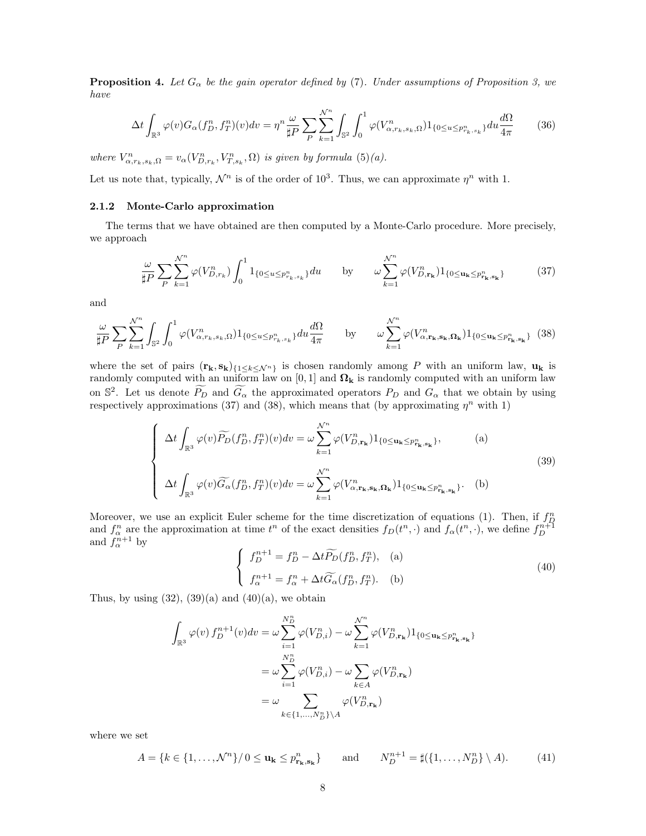**Proposition 4.** Let  $G_{\alpha}$  be the gain operator defined by (7). Under assumptions of Proposition 3, we have

$$
\Delta t \int_{\mathbb{R}^3} \varphi(v) G_{\alpha}(f_D^n, f_T^n)(v) dv = \eta^n \frac{\omega}{\sharp P} \sum_P \sum_{k=1}^{N^n} \int_{\mathbb{S}^2} \int_0^1 \varphi(V_{\alpha, r_k, s_k, \Omega}^n) 1_{\{0 \le u \le p_{r_k, s_k}^n\}} du \frac{d\Omega}{4\pi}
$$
(36)

where  $V_{\alpha,r_k,s_k,\Omega}^n = v_\alpha(V_{D,r_k}^n,V_{T,s_k}^n,\Omega)$  is given by formula  $(5)(a)$ .

Let us note that, typically,  $\mathcal{N}^n$  is of the order of 10<sup>3</sup>. Thus, we can approximate  $\eta^n$  with 1.

#### 2.1.2 Monte-Carlo approximation

The terms that we have obtained are then computed by a Monte-Carlo procedure. More precisely, we approach

$$
\frac{\omega}{\sharp P} \sum_{P} \sum_{k=1}^{N^n} \varphi(V_{D,r_k}^n) \int_0^1 1_{\{0 \le u \le p_{r_k,s_k}^n\}} du \quad \text{by} \quad \omega \sum_{k=1}^{N^n} \varphi(V_{D,\mathbf{r}_k}^n) 1_{\{0 \le u_k \le p_{\mathbf{r}_k,\mathbf{s}_k}^n\}} \tag{37}
$$

and

$$
\frac{\omega}{\sharp P} \sum_{P} \sum_{k=1}^{N^n} \int_{\mathbb{S}^2} \int_0^1 \varphi(V^n_{\alpha, r_k, s_k, \Omega}) 1_{\{0 \le u \le p^n_{r_k, s_k}\}} du \frac{d\Omega}{4\pi} \qquad \text{by} \qquad \omega \sum_{k=1}^{N^n} \varphi(V^n_{\alpha, \mathbf{r}_k, \mathbf{s}_k, \Omega_k}) 1_{\{0 \le u_k \le p^n_{\mathbf{r}_k, \mathbf{s}_k}\}} \tag{38}
$$

where the set of pairs  $(\mathbf{r_k}, \mathbf{s_k})_{\{1 \leq k \leq \mathcal{N}^n\}}$  is chosen randomly among P with an uniform law,  $\mathbf{u_k}$  is randomly computed with an uniform law on [0, 1] and  $\Omega_{k}$  is randomly computed with an uniform law on  $\mathbb{S}^2$ . Let us denote  $\widetilde{P_D}$  and  $\widetilde{G_{\alpha}}$  the approximated operators  $P_D$  and  $G_{\alpha}$  that we obtain by using respectively approximations (37) and (38), which means that (by approximating  $\eta^n$  with 1)

$$
\begin{cases}\n\Delta t \int_{\mathbb{R}^3} \varphi(v) \widetilde{P_D}(f_D^n, f_T^n)(v) dv = \omega \sum_{k=1}^{N^n} \varphi(V_{D, \mathbf{r}_k}^n) 1_{\{0 \le \mathbf{u}_k \le p_{\mathbf{r}_k, \mathbf{s}_k}^n\}}, \qquad (a) \\
\Delta t \int_{\mathbb{R}^3} \varphi(v) \widetilde{G_\alpha}(f_D^n, f_T^n)(v) dv = \omega \sum_{k=1}^{N^n} \varphi(V_{\alpha, \mathbf{r}_k, \mathbf{s}_k, \Omega_k}^n) 1_{\{0 \le \mathbf{u}_k \le p_{\mathbf{r}_k, \mathbf{s}_k}^n\}}.\n\end{cases}
$$
\n(39)

Moreover, we use an explicit Euler scheme for the time discretization of equations (1). Then, if  $f_D^n$  and  $f_\alpha^n$  are the approximation at time  $t^n$  of the exact densities  $f_D(t^n, \cdot)$  and  $f_\alpha(t^n, \cdot)$ , we define  $f_D^{n+1}$  a

$$
\begin{cases}\nf_D^{n+1} = f_D^n - \Delta t \widetilde{P}_D(f_D^n, f_T^n), & \text{(a)} \\
f_\alpha^{n+1} = f_\alpha^n + \Delta t \widetilde{G}_\alpha(f_D^n, f_T^n). & \text{(b)}\n\end{cases}
$$
\n(40)

Thus, by using  $(32)$ ,  $(39)(a)$  and  $(40)(a)$ , we obtain

$$
\int_{\mathbb{R}^3} \varphi(v) f_D^{n+1}(v) dv = \omega \sum_{i=1}^{N_D^n} \varphi(V_{D,i}^n) - \omega \sum_{k=1}^{N^n} \varphi(V_{D,\mathbf{r}_k}^n) 1_{\{0 \le \mathbf{u}_k \le p_{\mathbf{r}_k, \mathbf{s}_k}\}}
$$
\n
$$
= \omega \sum_{i=1}^{N_D^n} \varphi(V_{D,i}^n) - \omega \sum_{k \in A} \varphi(V_{D,\mathbf{r}_k}^n)
$$
\n
$$
= \omega \sum_{k \in \{1, \dots, N_D^n\} \setminus A} \varphi(V_{D,\mathbf{r}_k}^n)
$$

where we set

$$
A = \{k \in \{1, \ldots, \mathcal{N}^n\}/0 \le \mathbf{u_k} \le p_{\mathbf{r_k}, \mathbf{s_k}}^n\} \quad \text{and} \quad N_D^{n+1} = \sharp(\{1, \ldots, N_D^n\} \setminus A). \tag{41}
$$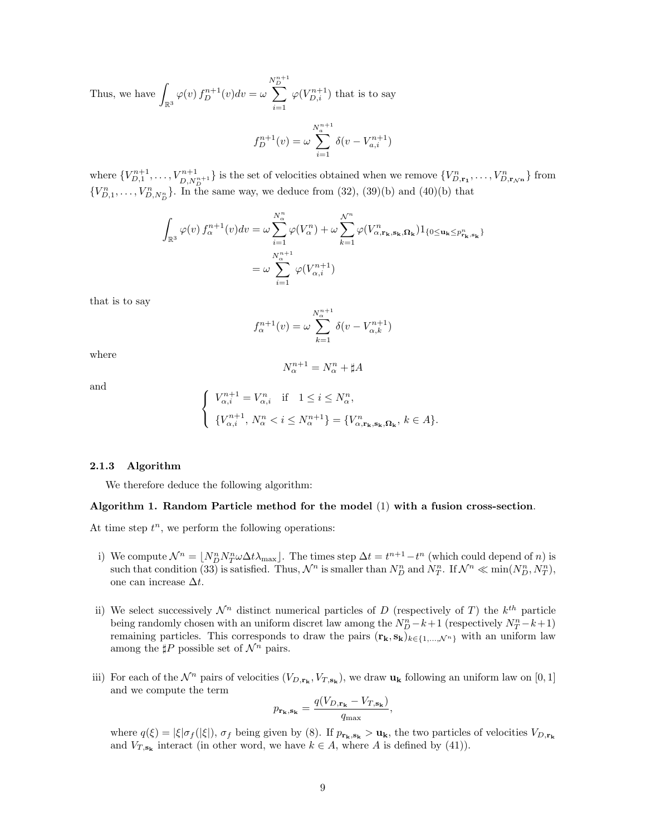Thus, we have 
$$
\int_{\mathbb{R}^3} \varphi(v) f_D^{n+1}(v) dv = \omega \sum_{i=1}^{N_D^{n+1}} \varphi(V_{D,i}^{n+1})
$$
 that is to say  

$$
f_D^{n+1}(v) = \omega \sum_{i=1}^{N_a^{n+1}} \delta(v - V_{a,i}^{n+1})
$$

where  $\{V_{D,1}^{n+1}, \ldots, V_{D,N_D^{n+1}}^{n+1}\}$  is the set of velocities obtained when we remove  $\{V_{D,\mathbf{r}_1}^n, \ldots, V_{D,\mathbf{r}_{N^{\mathbf{n}}}}^n\}$  from  ${V_{D,1}^n, \ldots, V_{D,N_D^n}^n}$ . In the same way, we deduce from (32), (39)(b) and (40)(b) that

$$
\int_{\mathbb{R}^3} \varphi(v) f_{\alpha}^{n+1}(v) dv = \omega \sum_{i=1}^{N_{\alpha}^n} \varphi(V_{\alpha}^n) + \omega \sum_{k=1}^{N^n} \varphi(V_{\alpha, \mathbf{r}_k, \mathbf{s}_k, \Omega_k}^n) 1_{\{0 \le \mathbf{u}_k \le p_{\mathbf{r}_k, \mathbf{s}_k}^n\}}
$$
\n
$$
= \omega \sum_{i=1}^{N_{\alpha}^{n+1}} \varphi(V_{\alpha, i}^{n+1})
$$

that is to say

$$
f_{\alpha}^{n+1}(v) = \omega \sum_{k=1}^{N_{\alpha}^{n+1}} \delta(v - V_{\alpha,k}^{n+1})
$$

where

$$
N_{\alpha}^{n+1} = N_{\alpha}^n + \sharp A
$$

and

$$
\label{eq:1.1} \left\{ \begin{array}{l} V_{\alpha,i}^{n+1}=V_{\alpha,i}^n \quad \text{if} \quad 1\leq i\leq N_\alpha^n, \\[2mm] \left\{ \begin{array}{l} V_{\alpha,i}^{n+1},\,N_\alpha^n < i \leq N_\alpha^{n+1} \end{array} \right\} = \{V_{\alpha,\mathbf{r_k},\mathbf{s_k},\mathbf{\Omega_k}}^n,\, k\in A\}. \end{array} \right.
$$

#### 2.1.3 Algorithm

We therefore deduce the following algorithm:

#### Algorithm 1. Random Particle method for the model (1) with a fusion cross-section.

At time step  $t^n$ , we perform the following operations:

- i) We compute  $\mathcal{N}^n = \lfloor N_D^n N_T^n \omega \Delta t \lambda_{\text{max}} \rfloor$ . The times step  $\Delta t = t^{n+1} t^n$  (which could depend of n) is such that condition (33) is satisfied. Thus,  $\mathcal{N}^n$  is smaller than  $N_D^n$  and  $N_T^n$ . If  $\mathcal{N}^n \ll \min(N_D^n, N_T^n)$ , one can increase  $\Delta t$ .
- ii) We select successively  $\mathcal{N}^n$  distinct numerical particles of D (respectively of T) the  $k^{th}$  particle being randomly chosen with an uniform discret law among the  $N_D^n - k + 1$  (respectively  $N_T^n - k + 1$ ) remaining particles. This corresponds to draw the pairs  $(\mathbf{r}_k, \mathbf{s}_k)_{k \in \{1, ..., \mathcal{N}^n\}}$  with an uniform law among the  $\sharp P$  possible set of  $\mathcal{N}^n$  pairs.
- iii) For each of the  $\mathcal{N}^n$  pairs of velocities  $(V_{D,\mathbf{r}_k}, V_{T,\mathbf{s}_k})$ , we draw  $\mathbf{u}_k$  following an uniform law on [0, 1] and we compute the term

$$
p_{\mathbf{r}_{\mathbf{k}},\mathbf{s}_{\mathbf{k}}} = \frac{q(V_{D,\mathbf{r}_{\mathbf{k}}}-V_{T,\mathbf{s}_{\mathbf{k}}})}{q_{\max}},
$$

where  $q(\xi) = |\xi|\sigma_f(|\xi|)$ ,  $\sigma_f$  being given by (8). If  $p_{\mathbf{r_k},\mathbf{s_k}} > \mathbf{u_k}$ , the two particles of velocities  $V_{D,\mathbf{r_k}}$ and  $V_{T,\mathbf{s}_k}$  interact (in other word, we have  $k \in A$ , where A is defined by (41)).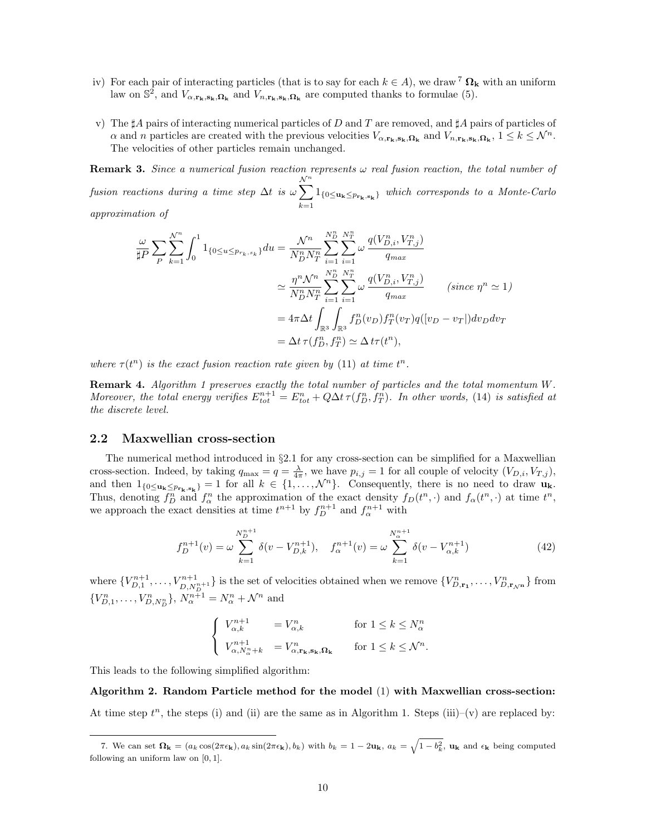- iv) For each pair of interacting particles (that is to say for each  $k \in A$ ), we draw <sup>7</sup>  $\Omega_k$  with an uniform law on  $\mathbb{S}^2$ , and  $V_{\alpha,\mathbf{r}_k,\mathbf{s}_k,\mathbf{\Omega}_k}$  and  $V_{n,\mathbf{r}_k,\mathbf{s}_k,\mathbf{\Omega}_k}$  are computed thanks to formulae (5).
- v) The  $\sharp A$  pairs of interacting numerical particles of D and T are removed, and  $\sharp A$  pairs of particles of  $\alpha$  and n particles are created with the previous velocities  $V_{\alpha,\mathbf{r}_k,\mathbf{s}_k,\mathbf{\Omega}_k}$  and  $V_{n,\mathbf{r}_k,\mathbf{s}_k,\mathbf{\Omega}_k}$ ,  $1 \leq k \leq \mathcal{N}^n$ . The velocities of other particles remain unchanged.

**Remark 3.** Since a numerical fusion reaction represents  $\omega$  real fusion reaction, the total number of fusion reactions during a time step  $\Delta t$  is  $\omega \sum$  $\mathcal{N}^n$  $\sum_{k=1} 1_{\{0 \leq u_k \leq p_{r_k,s_k}\}}$  which corresponds to a Monte-Carlo

approximation of

$$
\frac{\omega}{\sharp P} \sum_{P} \sum_{k=1}^{N^n} \int_0^1 1_{\{0 \le u \le p_{r_k, s_k}\}} du = \frac{\mathcal{N}^n}{N_D^n N_T^n} \sum_{i=1}^{N_D^n} \sum_{i=1}^{N_T^n} \omega \frac{q(V_{D,i}^n, V_{T,j}^n)}{q_{max}}
$$

$$
\simeq \frac{\eta^n \mathcal{N}^n}{N_D^n N_T^n} \sum_{i=1}^{N_D^n} \sum_{i=1}^{N_T^n} \omega \frac{q(V_{D,i}^n, V_{T,j}^n)}{q_{max}} \qquad (since \ \eta^n \simeq 1)
$$

$$
= 4\pi \Delta t \int_{\mathbb{R}^3} \int_{\mathbb{R}^3} f_D^n(v_D) f_T^n(v_T) q([v_D - v_T]) dv_D dv_T
$$

$$
= \Delta t \tau(f_D^n, f_T^n) \simeq \Delta t \tau(t^n),
$$

where  $\tau(t^n)$  is the exact fusion reaction rate given by (11) at time  $t^n$ .

Remark 4. Algorithm 1 preserves exactly the total number of particles and the total momentum W. Moreover, the total energy verifies  $E_{tot}^{n+1} = E_{tot}^n + Q\Delta t \tau(f_D^n, f_T^n)$ . In other words, (14) is satisfied at the discrete level.

#### 2.2 Maxwellian cross-section

The numerical method introduced in §2.1 for any cross-section can be simplified for a Maxwellian cross-section. Indeed, by taking  $q_{\text{max}} = q = \frac{\lambda}{4\pi}$ , we have  $p_{i,j} = 1$  for all couple of velocity  $(V_{D,i}, V_{T,j})$ , and then  $1_{\{0 \leq u_k \leq p_{r_k}, s_k\}} = 1$  for all  $k \in \{1, ..., \mathcal{N}^n\}$ . Consequently, there is no need to draw  $u_k$ . Thus, denoting  $f_D^n$  and  $f_\alpha^n$  the approximation of the exact density  $f_D(t^n, \cdot)$  and  $f_\alpha(t^n, \cdot)$  at time  $t^n$ , we approach the exact densities at time  $t^{n+1}$  by  $f_D^{n+1}$  and  $f_\alpha^{n+1}$  with

$$
f_D^{n+1}(v) = \omega \sum_{k=1}^{N_D^{n+1}} \delta(v - V_{D,k}^{n+1}), \quad f_\alpha^{n+1}(v) = \omega \sum_{k=1}^{N_\alpha^{n+1}} \delta(v - V_{\alpha,k}^{n+1})
$$
(42)

where  $\{V_{D,1}^{n+1}, \ldots, V_{D,N_D^{n+1}}^{n+1}\}$  is the set of velocities obtained when we remove  $\{V_{D,\mathbf{r}_1}^n, \ldots, V_{D,\mathbf{r}_{N^{\mathbf{n}}}}^n\}$  from  ${V_{D,1}^n, \ldots, V_{D,N_D^n}^n}$ ,  $N_{\alpha}^{n+1} = N_{\alpha}^n + \mathcal{N}^n$  and

$$
\begin{cases}\nV_{\alpha,k}^{n+1} &= V_{\alpha,k}^n & \text{for } 1 \leq k \leq N_{\alpha}^n \\
V_{\alpha,N_{\alpha}^n+k}^{n+1} &= V_{\alpha,\mathbf{r}_k,\mathbf{s}_k,\Omega_k}^n & \text{for } 1 \leq k \leq \mathcal{N}^n.\n\end{cases}
$$

This leads to the following simplified algorithm:

Algorithm 2. Random Particle method for the model (1) with Maxwellian cross-section: At time step  $t^n$ , the steps (i) and (ii) are the same as in Algorithm 1. Steps (iii)–(v) are replaced by:

<sup>7.</sup> We can set  $\Omega_{\mathbf{k}} = (a_k \cos(2\pi\epsilon_{\mathbf{k}}), a_k \sin(2\pi\epsilon_{\mathbf{k}}), b_k)$  with  $b_k = 1 - 2\mathbf{u}_{\mathbf{k}}, a_k = \sqrt{1 - b_k^2}$ ,  $\mathbf{u}_{\mathbf{k}}$  and  $\epsilon_{\mathbf{k}}$  being computed following an uniform law on [0, 1].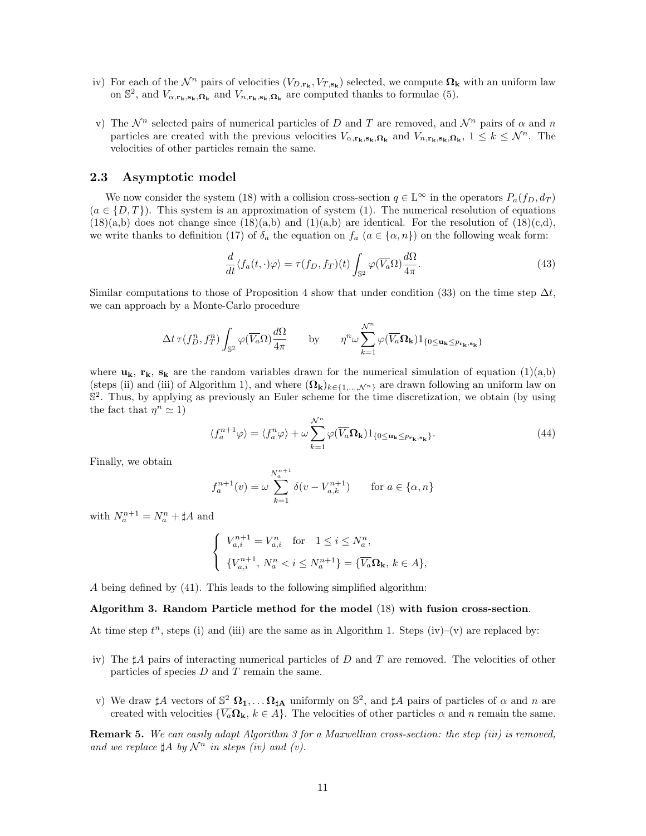- iv) For each of the  $\mathcal{N}^n$  pairs of velocities  $(V_{D,\mathbf{r}_k}, V_{T,\mathbf{s}_k})$  selected, we compute  $\mathbf{\Omega}_k$  with an uniform law on  $\mathbb{S}^2$ , and  $V_{\alpha,\mathbf{r}_k,\mathbf{s}_k,\mathbf{\Omega}_k}$  and  $V_{n,\mathbf{r}_k,\mathbf{s}_k,\mathbf{\Omega}_k}$  are computed thanks to formulae (5).
- v) The  $\mathcal{N}^n$  selected pairs of numerical particles of D and T are removed, and  $\mathcal{N}^n$  pairs of  $\alpha$  and n particles are created with the previous velocities  $V_{\alpha,\mathbf{r}_k,\mathbf{s}_k,\Omega_k}$  and  $V_{n,\mathbf{r}_k,\mathbf{s}_k,\Omega_k}$ ,  $1 \leq k \leq \mathcal{N}^n$ . The velocities of other particles remain the same.

#### 2.3 Asymptotic model

We now consider the system (18) with a collision cross-section  $q \in \mathbb{L}^{\infty}$  in the operators  $P_a(f_D, d_T)$  $(a \in \{D, T\})$ . This system is an approximation of system (1). The numerical resolution of equations  $(18)(a,b)$  does not change since  $(18)(a,b)$  and  $(1)(a,b)$  are identical. For the resolution of  $(18)(c,d)$ , we write thanks to definition (17) of  $\delta_a$  the equation on  $f_a$  ( $a \in \{\alpha, n\}$ ) on the following weak form:

$$
\frac{d}{dt}\langle f_a(t,\cdot)\varphi\rangle = \tau(f_D, f_T)(t) \int_{\mathbb{S}^2} \varphi(\overline{V_a}\Omega) \frac{d\Omega}{4\pi}.
$$
\n(43)

Similar computations to those of Proposition 4 show that under condition (33) on the time step  $\Delta t$ . we can approach by a Monte-Carlo procedure

$$
\Delta t \,\tau(f_D^n,f_T^n)\int_{\mathbb{S}^2}\varphi(\overline{V_a}\Omega)\frac{d\Omega}{4\pi}\qquad\text{by}\qquad \eta^n\omega\sum_{k=1}^{\mathcal{N}^n}\varphi(\overline{V_a}\Omega_{\bf k})\mathbf{1}_{\{0\leq{\bf u_k}\leq p_{{\bf r_k},{\bf s_k}}\}}
$$

where  $\mathbf{u}_k$ ,  $\mathbf{r}_k$ ,  $\mathbf{s}_k$  are the random variables drawn for the numerical simulation of equation (1)(a,b) (steps (ii) and (iii) of Algorithm 1), and where  $(\mathbf{\Omega}_{\mathbf{k}})_{k\in\{1,\ldots,N^n\}}$  are drawn following an uniform law on  $\mathbb{S}^2$ . Thus, by applying as previously an Euler scheme for the time discretization, we obtain (by using the fact that  $\eta^n \simeq 1$ )

$$
\langle f_a^{n+1} \varphi \rangle = \langle f_a^n \varphi \rangle + \omega \sum_{k=1}^{\mathcal{N}^n} \varphi(\overline{V_a} \Omega_k) 1_{\{0 \le u_k \le p_{\mathbf{r}_k, \mathbf{s}_k}\}}.
$$
(44)

Finally, we obtain

$$
f_a^{n+1}(v) = \omega \sum_{k=1}^{N_a^{n+1}} \delta(v - V_{a,k}^{n+1}) \quad \text{for } a \in \{\alpha, n\}
$$

with  $N_a^{n+1} = N_a^n + \sharp A$  and

$$
\begin{cases}\nV_{a,i}^{n+1} = V_{a,i}^n \quad \text{for} \quad 1 \le i \le N_a^n, \\
\{V_{a,i}^{n+1}, N_a^n < i \le N_a^{n+1}\} = \{\overline{V_a} \Omega_k, \, k \in A\},\n\end{cases}
$$

A being defined by (41). This leads to the following simplified algorithm:

#### Algorithm 3. Random Particle method for the model (18) with fusion cross-section.

At time step  $t^n$ , steps (i) and (iii) are the same as in Algorithm 1. Steps (iv)–(v) are replaced by:

- iv) The  $\sharp A$  pairs of interacting numerical particles of D and T are removed. The velocities of other particles of species  $D$  and  $T$  remain the same.
- v) We draw  $\sharp A$  vectors of  $\mathbb{S}^2$   $\Omega_1, \ldots, \Omega_{\sharp A}$  uniformly on  $\mathbb{S}^2$ , and  $\sharp A$  pairs of particles of  $\alpha$  and  $n$  are created with velocities  $\{\overline{V_a} \Omega_k, k \in \hat{A}\}\.$  The velocities of other particles  $\alpha$  and n remain the same.

Remark 5. We can easily adapt Algorithm 3 for a Maxwellian cross-section: the step (iii) is removed, and we replace  $\sharp A$  by  $\mathcal{N}^n$  in steps (iv) and (v).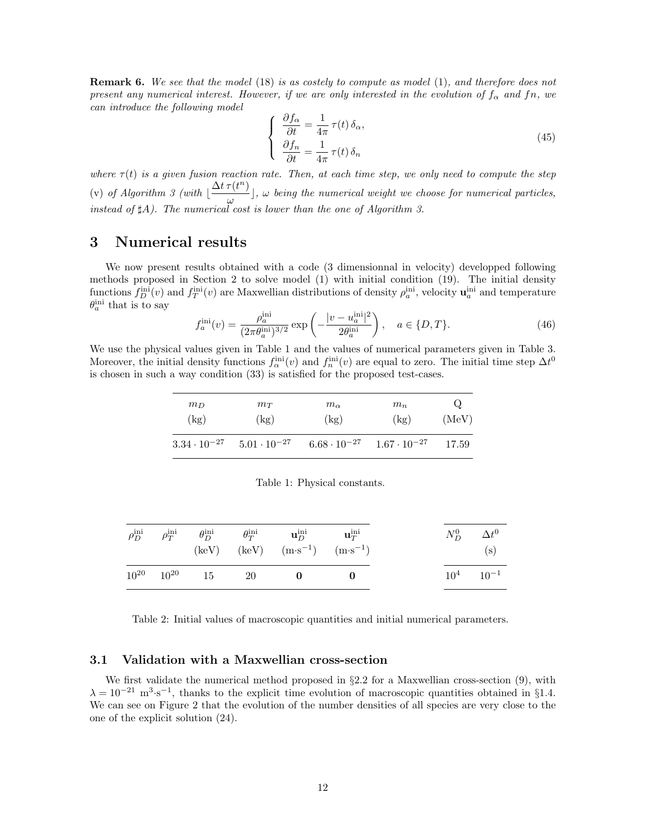**Remark 6.** We see that the model (18) is as costely to compute as model (1), and therefore does not present any numerical interest. However, if we are only interested in the evolution of  $f_{\alpha}$  and fn, we can introduce the following model

$$
\begin{cases}\n\frac{\partial f_{\alpha}}{\partial t} = \frac{1}{4\pi} \tau(t) \, \delta_{\alpha}, \\
\frac{\partial f_{n}}{\partial t} = \frac{1}{4\pi} \tau(t) \, \delta_{n}\n\end{cases}
$$
\n(45)

where  $\tau(t)$  is a given fusion reaction rate. Then, at each time step, we only need to compute the step (v) of Algorithm 3 (with  $\frac{\Delta t \tau(t^n)}{n}$  $\left[\frac{(\alpha)}{\omega}\right]$ ,  $\omega$  being the numerical weight we choose for numerical particles, instead of  $\sharp A$ ). The numerical cost is lower than the one of Algorithm 3.

# 3 Numerical results

We now present results obtained with a code (3 dimensionnal in velocity) developped following methods proposed in Section 2 to solve model (1) with initial condition (19). The initial density functions  $f_D^{\text{ini}}(v)$  and  $f_T^{\text{ini}}(v)$  are Maxwellian distributions of density  $\rho_a^{\text{ini}}$ , velocity  $\mathbf{u}_a^{\text{ini}}$  and temperature  $\theta_a^{\text{ini}}$  that is to say

$$
f_a^{\text{ini}}(v) = \frac{\rho_a^{\text{ini}}}{(2\pi \theta_a^{\text{ini}})^{3/2}} \exp\left(-\frac{|v - u_a^{\text{ini}}|^2}{2\theta_a^{\text{ini}}}\right), \quad a \in \{D, T\}.
$$
 (46)

We use the physical values given in Table 1 and the values of numerical parameters given in Table 3. Moreover, the initial density functions  $f_\alpha^{\text{ini}}(v)$  and  $f_n^{\text{ini}}(v)$  are equal to zero. The initial time step  $\Delta t^0$ is chosen in such a way condition (33) is satisfied for the proposed test-cases.

| $m_D$<br>$m_T$<br>(kg)<br>(kg) |                       | $m_{\alpha}$<br>(kg) | $m_n$<br>(kg)                               | Q<br>(MeV) |  |
|--------------------------------|-----------------------|----------------------|---------------------------------------------|------------|--|
| $3.34 \cdot 10^{-27}$          | $5.01 \cdot 10^{-27}$ |                      | $6.68 \cdot 10^{-27}$ $1.67 \cdot 10^{-27}$ | 17.59      |  |

Table 1: Physical constants.

|                     |  | $\rho_D^{\rm ini} \qquad \rho_T^{\rm ini} \qquad \theta_D^{\rm ini} \qquad \quad \theta_T^{\rm ini} \qquad \quad {\bf u}_D^{\rm ini} \qquad \quad {\bf u}_T^{\rm ini}$<br>(keV) (keV) $(m \cdot s^{-1})$ $(m \cdot s^{-1})$ |  | $N_D^0$ $\Delta t^0$<br>(s) |
|---------------------|--|-----------------------------------------------------------------------------------------------------------------------------------------------------------------------------------------------------------------------------|--|-----------------------------|
| $10^{20}$ $10^{20}$ |  | $15 \qquad 20 \qquad \qquad 0$                                                                                                                                                                                              |  | $10^4$ $10^{-1}$            |

Table 2: Initial values of macroscopic quantities and initial numerical parameters.

## 3.1 Validation with a Maxwellian cross-section

We first validate the numerical method proposed in  $\S 2.2$  for a Maxwellian cross-section (9), with  $\lambda = 10^{-21}$  m<sup>3</sup>⋅s<sup>-1</sup>, thanks to the explicit time evolution of macroscopic quantities obtained in §1.4. We can see on Figure 2 that the evolution of the number densities of all species are very close to the one of the explicit solution (24).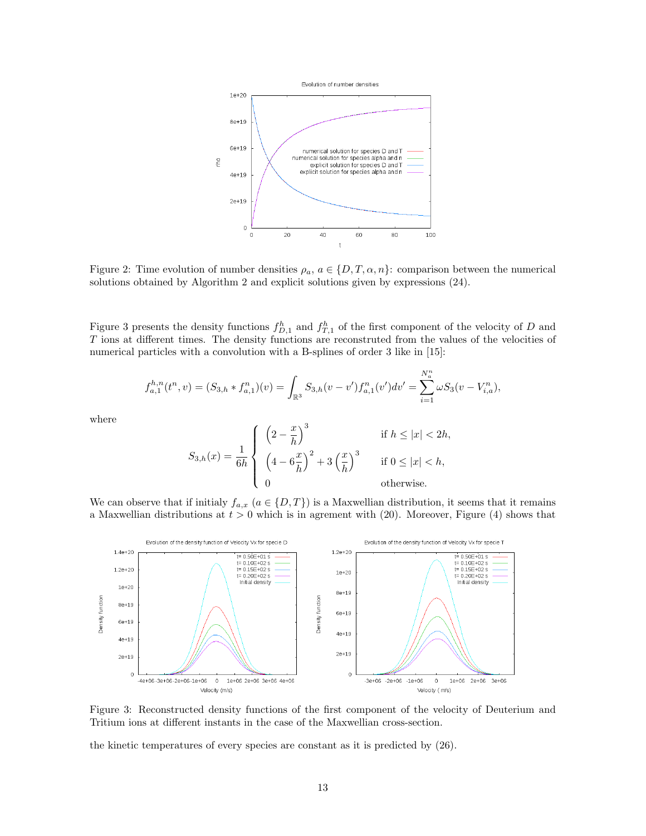

Figure 2: Time evolution of number densities  $\rho_a$ ,  $a \in \{D, T, \alpha, n\}$ : comparison between the numerical solutions obtained by Algorithm 2 and explicit solutions given by expressions (24).

Figure 3 presents the density functions  $f_{D,1}^h$  and  $f_{T,1}^h$  of the first component of the velocity of D and T ions at different times. The density functions are reconstruted from the values of the velocities of numerical particles with a convolution with a B-splines of order 3 like in [15]:

$$
f_{a,1}^{h,n}(t^n, v) = (S_{3,h} * f_{a,1}^n)(v) = \int_{\mathbb{R}^3} S_{3,h}(v-v') f_{a,1}^n(v')dv' = \sum_{i=1}^{N_a^n} \omega S_3(v-V_{i,a}^n),
$$

where

$$
S_{3,h}(x) = \frac{1}{6h} \begin{cases} \left(2 - \frac{x}{h}\right)^3 & \text{if } h \le |x| < 2h, \\ \left(4 - 6\frac{x}{h}\right)^2 + 3\left(\frac{x}{h}\right)^3 & \text{if } 0 \le |x| < h, \\ 0 & \text{otherwise.} \end{cases}
$$

We can observe that if initialy  $f_{a,x}$   $(a \in \{D,T\})$  is a Maxwellian distribution, it seems that it remains a Maxwellian distributions at  $t > 0$  which is in agrement with (20). Moreover, Figure (4) shows that



Figure 3: Reconstructed density functions of the first component of the velocity of Deuterium and Tritium ions at different instants in the case of the Maxwellian cross-section.

the kinetic temperatures of every species are constant as it is predicted by (26).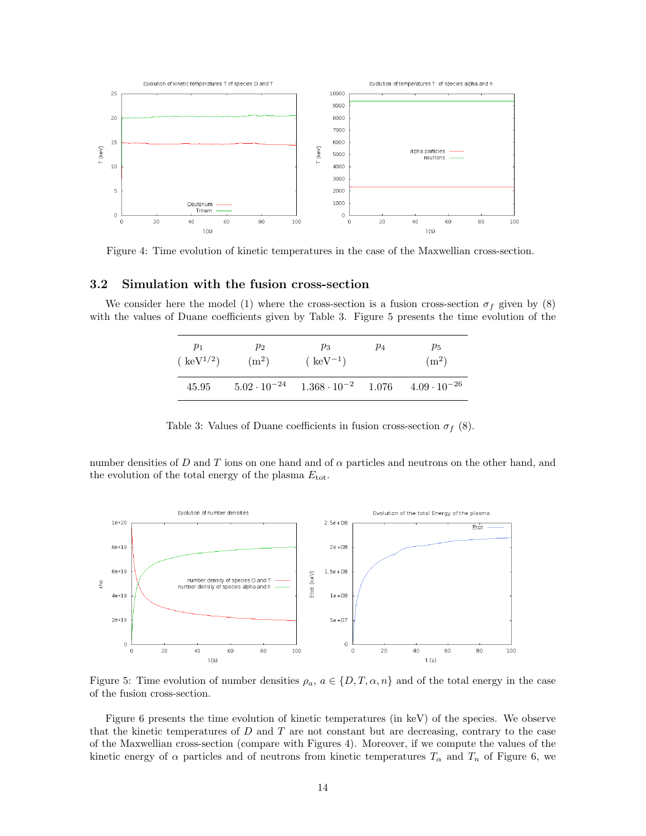

Figure 4: Time evolution of kinetic temperatures in the case of the Maxwellian cross-section.

### 3.2 Simulation with the fusion cross-section

We consider here the model (1) where the cross-section is a fusion cross-section  $\sigma_f$  given by (8) with the values of Duane coefficients given by Table 3. Figure 5 presents the time evolution of the

| $p_1$         | $p_2$   | $p_3$                                                                     | $p_4$ | $p_5$             |  |
|---------------|---------|---------------------------------------------------------------------------|-------|-------------------|--|
| $(keV^{1/2})$ | $(m^2)$ | $(keV^{-1})$                                                              |       | (m <sup>2</sup> ) |  |
| 45.95         |         | $5.02 \cdot 10^{-24}$ $1.368 \cdot 10^{-2}$ $1.076$ $4.09 \cdot 10^{-26}$ |       |                   |  |

|  | Table 3: Values of Duane coefficients in fusion cross-section $\sigma_f$ (8). |  |  |  |  |  |  |
|--|-------------------------------------------------------------------------------|--|--|--|--|--|--|
|--|-------------------------------------------------------------------------------|--|--|--|--|--|--|

number densities of D and T ions on one hand and of  $\alpha$  particles and neutrons on the other hand, and the evolution of the total energy of the plasma  $E_{\text{tot}}$ .



Figure 5: Time evolution of number densities  $\rho_a$ ,  $a \in \{D, T, \alpha, n\}$  and of the total energy in the case of the fusion cross-section.

Figure 6 presents the time evolution of kinetic temperatures (in keV) of the species. We observe that the kinetic temperatures of  $D$  and  $T$  are not constant but are decreasing, contrary to the case of the Maxwellian cross-section (compare with Figures 4). Moreover, if we compute the values of the kinetic energy of  $\alpha$  particles and of neutrons from kinetic temperatures  $T_{\alpha}$  and  $T_n$  of Figure 6, we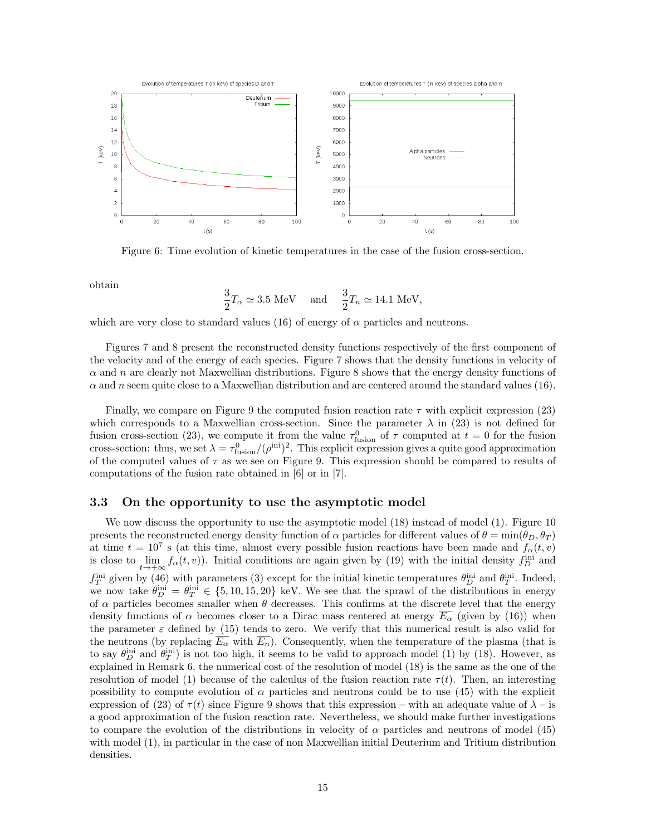

Figure 6: Time evolution of kinetic temperatures in the case of the fusion cross-section.

obtain

$$
\frac{3}{2}T_{\alpha} \simeq 3.5 \text{ MeV} \quad \text{ and } \quad \frac{3}{2}T_n \simeq 14.1 \text{ MeV},
$$

which are very close to standard values (16) of energy of  $\alpha$  particles and neutrons.

Figures 7 and 8 present the reconstructed density functions respectively of the first component of the velocity and of the energy of each species. Figure 7 shows that the density functions in velocity of  $\alpha$  and n are clearly not Maxwellian distributions. Figure 8 shows that the energy density functions of  $\alpha$  and n seem quite close to a Maxwellian distribution and are centered around the standard values (16).

Finally, we compare on Figure 9 the computed fusion reaction rate  $\tau$  with explicit expression (23) which corresponds to a Maxwellian cross-section. Since the parameter  $\lambda$  in (23) is not defined for fusion cross-section (23), we compute it from the value  $\tau_{\text{fusion}}^0$  of  $\tau$  computed at  $t=0$  for the fusion cross-section: thus, we set  $\lambda = \tau_{fusion}^0/(\rho^{\text{ini}})^2$ . This explicit expression gives a quite good approximation of the computed values of  $\tau$  as we see on Figure 9. This expression should be compared to results of computations of the fusion rate obtained in [6] or in [7].

#### 3.3 On the opportunity to use the asymptotic model

We now discuss the opportunity to use the asymptotic model (18) instead of model (1). Figure 10 presents the reconstructed energy density function of  $\alpha$  particles for different values of  $\theta = \min(\theta_D, \theta_T)$ at time  $t = 10^7$  s (at this time, almost every possible fusion reactions have been made and  $f_\alpha(t, v)$ is close to  $\lim_{t\to+\infty} f_{\alpha}(t,v)$ . Initial conditions are again given by (19) with the initial density  $f_D^{\text{ini}}$  and  $f_T^{\text{ini}}$  given by (46) with parameters (3) except for the initial kinetic temperatures  $\theta_D^{\text{ini}}$  and  $\theta_T^{\text{ini}}$ . Indeed, we now take  $\theta_D^{\text{ini}} = \theta_T^{\text{ini}} \in \{5, 10, 15, 20\}$  keV. We see that the sprawl of the distributions in energy of  $\alpha$  particles becomes smaller when  $\theta$  decreases. This confirms at the discrete level that the energy density functions of  $\alpha$  becomes closer to a Dirac mass centered at energy  $\overline{E_{\alpha}}$  (given by (16)) when the parameter  $\varepsilon$  defined by (15) tends to zero. We verify that this numerical result is also valid for the neutrons (by replacing  $\overline{E_{\alpha}}$  with  $\overline{E_n}$ ). Consequently, when the temperature of the plasma (that is to say  $\theta_D^{\text{ini}}$  and  $\theta_T^{\text{ini}}$ ) is not too high, it seems to be valid to approach model (1) by (18). However, as explained in Remark 6, the numerical cost of the resolution of model (18) is the same as the one of the resolution of model (1) because of the calculus of the fusion reaction rate  $\tau(t)$ . Then, an interesting possibility to compute evolution of  $\alpha$  particles and neutrons could be to use (45) with the explicit expression of (23) of  $\tau(t)$  since Figure 9 shows that this expression – with an adequate value of  $\lambda$  – is a good approximation of the fusion reaction rate. Nevertheless, we should make further investigations to compare the evolution of the distributions in velocity of  $\alpha$  particles and neutrons of model (45) with model (1), in particular in the case of non Maxwellian initial Deuterium and Tritium distribution densities.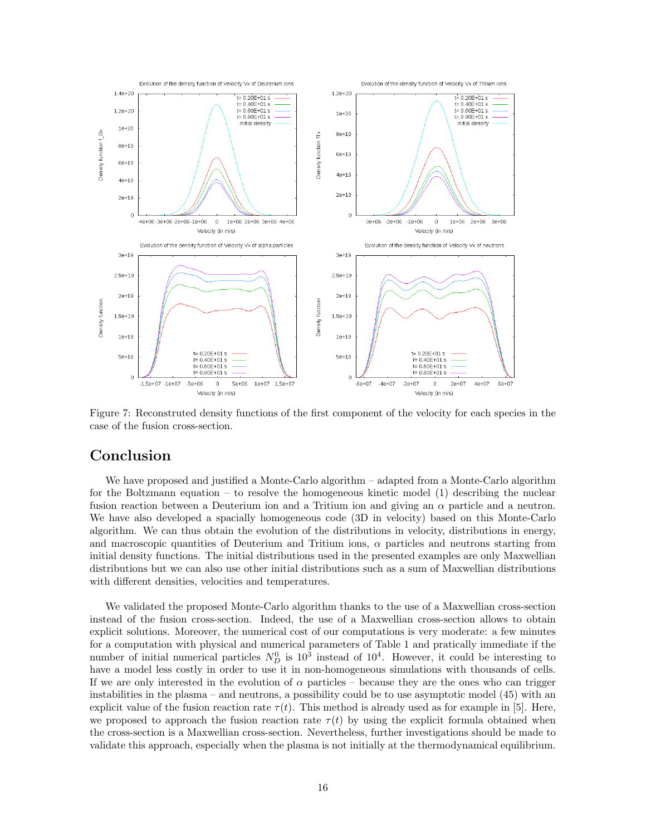

Figure 7: Reconstruted density functions of the first component of the velocity for each species in the case of the fusion cross-section.

# Conclusion

We have proposed and justified a Monte-Carlo algorithm – adapted from a Monte-Carlo algorithm for the Boltzmann equation – to resolve the homogeneous kinetic model  $(1)$  describing the nuclear fusion reaction between a Deuterium ion and a Tritium ion and giving an  $\alpha$  particle and a neutron. We have also developed a spacially homogeneous code (3D in velocity) based on this Monte-Carlo algorithm. We can thus obtain the evolution of the distributions in velocity, distributions in energy, and macroscopic quantities of Deuterium and Tritium ions,  $\alpha$  particles and neutrons starting from initial density functions. The initial distributions used in the presented examples are only Maxwellian distributions but we can also use other initial distributions such as a sum of Maxwellian distributions with different densities, velocities and temperatures.

We validated the proposed Monte-Carlo algorithm thanks to the use of a Maxwellian cross-section instead of the fusion cross-section. Indeed, the use of a Maxwellian cross-section allows to obtain explicit solutions. Moreover, the numerical cost of our computations is very moderate: a few minutes for a computation with physical and numerical parameters of Table 1 and pratically immediate if the number of initial numerical particles  $N_D^0$  is  $10^3$  instead of  $10^4$ . However, it could be interesting to have a model less costly in order to use it in non-homogeneous simulations with thousands of cells. If we are only interested in the evolution of  $\alpha$  particles – because they are the ones who can trigger instabilities in the plasma – and neutrons, a possibility could be to use asymptotic model (45) with an explicit value of the fusion reaction rate  $\tau(t)$ . This method is already used as for example in [5]. Here, we proposed to approach the fusion reaction rate  $\tau(t)$  by using the explicit formula obtained when the cross-section is a Maxwellian cross-section. Nevertheless, further investigations should be made to validate this approach, especially when the plasma is not initially at the thermodynamical equilibrium.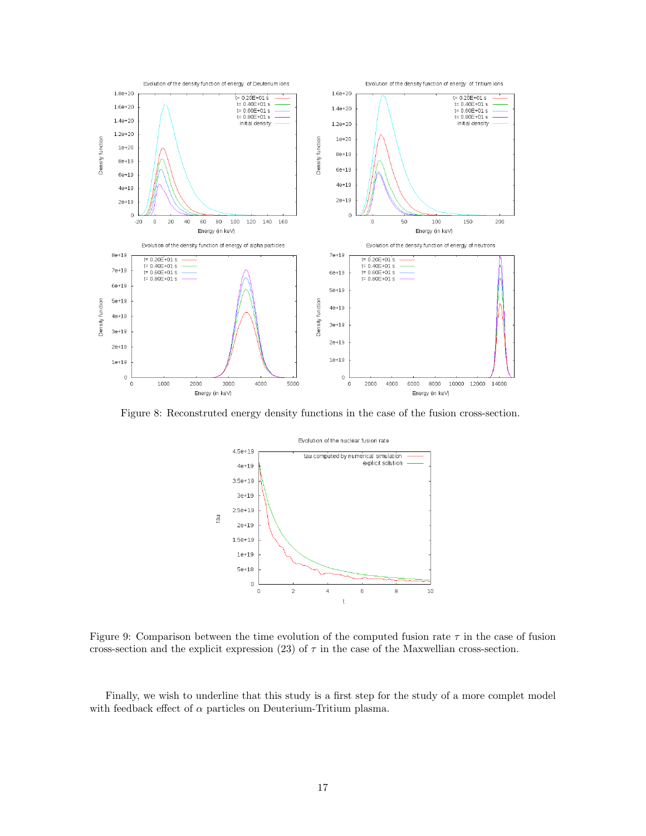

Figure 8: Reconstruted energy density functions in the case of the fusion cross-section.



Figure 9: Comparison between the time evolution of the computed fusion rate  $\tau$  in the case of fusion cross-section and the explicit expression (23) of  $\tau$  in the case of the Maxwellian cross-section.

Finally, we wish to underline that this study is a first step for the study of a more complet model with feedback effect of  $\alpha$  particles on Deuterium-Tritium plasma.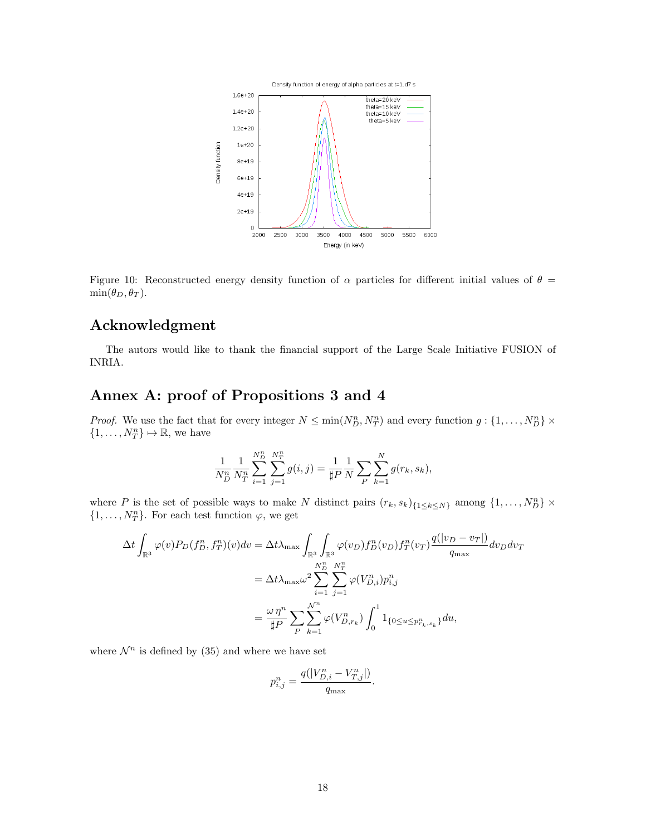

Figure 10: Reconstructed energy density function of  $\alpha$  particles for different initial values of  $\theta$  =  $\min(\theta_D, \theta_T)$ .

# Acknowledgment

The autors would like to thank the financial support of the Large Scale Initiative FUSION of INRIA.

# Annex A: proof of Propositions 3 and 4

*Proof.* We use the fact that for every integer  $N \le \min(N_D^n, N_T^n)$  and every function  $g: \{1, \ldots, N_D^n\} \times$  $\{1, \ldots, N_T^n\} \mapsto \mathbb{R}$ , we have

$$
\frac{1}{N_D^n} \frac{1}{N_T^n} \sum_{i=1}^{N_D^n} \sum_{j=1}^{N_T^n} g(i,j) = \frac{1}{\sharp P} \frac{1}{N} \sum_{P} \sum_{k=1}^{N} g(r_k, s_k),
$$

where P is the set of possible ways to make N distinct pairs  $(r_k, s_k)_{\{1 \leq k \leq N\}}$  among  $\{1, \ldots, N_D^n\}$  ×  $\{1, \ldots, N_T^n\}$ . For each test function  $\varphi$ , we get

$$
\Delta t \int_{\mathbb{R}^3} \varphi(v) P_D(f_D^n, f_T^n)(v) dv = \Delta t \lambda_{\max} \int_{\mathbb{R}^3} \int_{\mathbb{R}^3} \varphi(v_D) f_D^n(v_D) f_T^n(v_T) \frac{q(|v_D - v_T|)}{q_{\max}} dv_D dv_T
$$
  

$$
= \Delta t \lambda_{\max} \omega^2 \sum_{i=1}^{N_D^n} \sum_{j=1}^{N_T^n} \varphi(V_{D,i}^n) p_{i,j}^n
$$
  

$$
= \frac{\omega \eta^n}{\sharp P} \sum_{P} \sum_{k=1}^{N^n} \varphi(V_{D,r_k}^n) \int_0^1 \mathbf{1}_{\{0 \le u \le p_{r_k, s_k}^n\}} du,
$$

where  $\mathcal{N}^n$  is defined by (35) and where we have set

$$
p^n_{i,j}=\frac{q(|V^n_{D,i}-V^n_{T,j}|)}{q_{\max}}.
$$